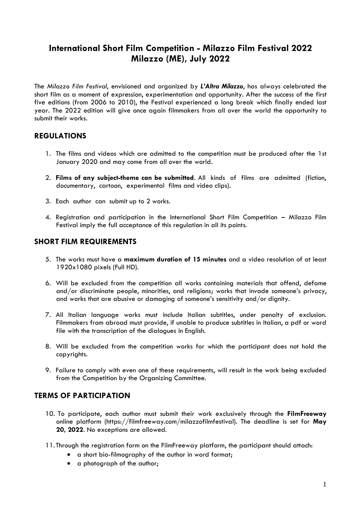# **International Short Film Competition - Milazzo Film Festival 2022 Milazzo (ME), July 2022**

The *Milazzo Film Festival*, envisioned and organized by *L'Altra Milazzo*, has always celebrated the short film as a moment of expression, experimentation and opportunity. After the success of the first five editions (from 2006 to 2010), the Festival experienced a long break which finally ended last year. The 2022 edition will give once again filmmakers from all over the world the opportunity to submit their works.

## **REGULATIONS**

- 1. The films and videos which are admitted to the competition must be produced after the 1st January 2020 and may come from all over the world.
- 2. **Films of any subject-theme can be submitted**. All kinds of films are admitted (fiction, documentary, cartoon, experimental films and video clips).
- 3. Each author can submit up to 2 works.
- 4. Registration and participation in the International Short Film Competition Milazzo Film Festival imply the full acceptance of this regulation in all its points.

#### **SHORT FILM REQUIREMENTS**

- 5. The works must have a **maximum duration of 15 minutes** and a video resolution of at least 1920x1080 pixels (Full HD).
- 6. Will be excluded from the competition all works containing materials that offend, defame and/or discriminate people, minorities, and religions; works that invade someone's privacy, and works that are abusive or damaging of someone's sensitivity and/or dignity.
- 7. All Italian language works must include Italian subtitles, under penalty of exclusion. Filmmakers from abroad must provide, if unable to produce subtitles in Italian, a pdf or word file with the transcription of the dialogues in English.
- 8. Will be excluded from the competition works for which the participant does not hold the copyrights.
- 9. Failure to comply with even one of these requirements, will result in the work being excluded from the Competition by the Organizing Committee.

### **TERMS OF PARTICIPATION**

- 10. To participate, each author must submit their work exclusively through the **FilmFreeway** online platform (https://filmfreeway.com/milazzofilmfestival). The deadline is set for **May 20, 2022**. No exceptions are allowed.
- 11.Through the registration form on the FilmFreeway platform, the participant should attach:
	- a short bio-filmography of the author in word format;
	- a photograph of the author;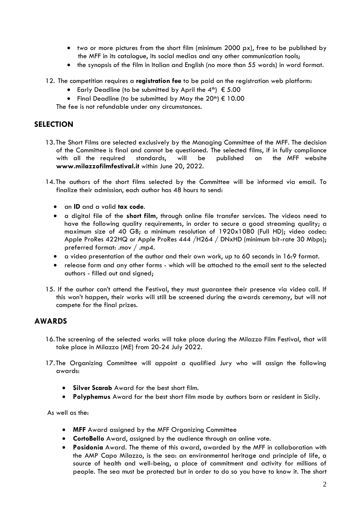- two or more pictures from the short film (minimum 2000 px), free to be published by the MFF in its catalogue, its social medias and any other communication tools;
- the synopsis of the film in Italian and English (no more than 55 words) in word format.
- 12. The competition requires a **registration fee** to be paid on the registration web platform:
	- Early Deadline (to be submitted by April the  $4^{th}$ )  $\epsilon$  5.00
	- Final Deadline (to be submitted by May the  $20<sup>th</sup>$ )  $\epsilon$  10.00

The fee is not refundable under any circumstances.

### **SELECTION**

- 13.The Short Films are selected exclusively by the Managing Committee of the MFF. The decision of the Committee is final and cannot be questioned. The selected films, if in fully compliance with all the required standards, will be published on the MFF website **www.milazzofilmfestival.it** within June 20, 2022.
- 14.The authors of the short films selected by the Committee will be informed via email. To finalize their admission, each author has 48 hours to send:
	- an **ID** and a valid **tax code**.
	- a digital file of the **short film**, through online file transfer services. The videos need to have the following quality requirements, in order to secure a good streaming quality; a maximum size of 40 GB; a minimum resolution of 1920x1080 (Full HD); video codec: Apple ProRes 422HQ or Apple ProRes 444 /H264 / DNxHD (minimum bit-rate 30 Mbps); preferred format: .mov / .mp4.
	- a video presentation of the author and their own work, up to 60 seconds in 16:9 format.
	- release form and any other forms which will be attached to the email sent to the selected authors - filled out and signed;
- 15. If the author can't attend the Festival, they must guarantee their presence via video call. If this won't happen, their works will still be screened during the awards ceremony, but will not compete for the final prizes.

### **AWARDS**

- 16.The screening of the selected works will take place during the Milazzo Film Festival, that will take place in Milazzo (ME) from 20-24 July 2022.
- 17.The Organizing Committee will appoint a qualified Jury who will assign the following awards:
	- **Silver Scarab** Award for the best short film.
	- **Polyphemus** Award for the best short film made by authors born or resident in Sicily.

As well as the:

- **MFF** Award assigned by the MFF Organizing Committee
- **CortoBello** Award, assigned by the audience through an online vote.
- **Posidonia** Award. The theme of this award, awarded by the MFF in collaboration with the AMP Capo Milazzo, is the sea: an environmental heritage and principle of life, a source of health and well-being, a place of commitment and activity for millions of people. The sea must be protected but in order to do so you have to know it. The short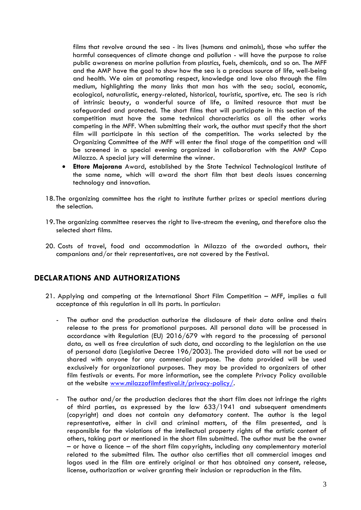films that revolve around the sea - its lives (humans and animals), those who suffer the harmful consequences of climate change and pollution - will have the purpose to raise public awareness on marine pollution from plastics, fuels, chemicals, and so on. The MFF and the AMP have the goal to show how the sea is a precious source of life, well-being and health. We aim at promoting respect, knowledge and love also through the film medium, highlighting the many links that man has with the sea; social, economic, ecological, naturalistic, energy-related, historical, touristic, sportive, etc. The sea is rich of intrinsic beauty, a wonderful source of life, a limited resource that must be safeguarded and protected. The short films that will participate in this section of the competition must have the same technical characteristics as all the other works competing in the MFF. When submitting their work, the author must specify that the short film will participate in this section of the competition. The works selected by the Organizing Committee of the MFF will enter the final stage of the competition and will be screened in a special evening organized in collaboration with the AMP Capo Milazzo. A special jury will determine the winner.

- **Ettore Majorana** Award, established by the State Technical Technological Institute of the same name, which will award the short film that best deals issues concerning technology and innovation.
- 18.The organizing committee has the right to institute further prizes or special mentions during the selection.
- 19.The organizing committee reserves the right to live-stream the evening, and therefore also the selected short films.
- 20. Costs of travel, food and accommodation in Milazzo of the awarded authors, their companions and/or their representatives, are not covered by the Festival.

### **DECLARATIONS AND AUTHORIZATIONS**

- 21. Applying and competing at the International Short Film Competition MFF, implies a full acceptance of this regulation in all its parts. In particular:
	- The author and the production authorize the disclosure of their data online and theirs release to the press for promotional purposes. All personal data will be processed in accordance with Regulation (EU) 2016/679 with regard to the processing of personal data, as well as free circulation of such data, and according to the legislation on the use of personal data (Legislative Decree 196/2003). The provided data will not be used or shared with anyone for any commercial purpose. The data provided will be used exclusively for organizational purposes. They may be provided to organizers of other film festivals or events. For more information, see the complete Privacy Policy available at the website [www.milazzofilmfestival.it/privacy-policy/.](http://www.milazzofilmfestival.it/privacy-policy/)
	- The author and/or the production declares that the short film does not infringe the rights of third parties, as expressed by the law 633/1941 and subsequent amendments (copyright) and does not contain any defamatory content. The author is the legal representative, either in civil and criminal matters, of the film presented, and is responsible for the violations of the intellectual property rights of the artistic content of others, taking part or mentioned in the short film submitted. The author must be the owner – or have a licence – of the short film copyrights, including any complementary material related to the submitted film. The author also certifies that all commercial images and logos used in the film are entirely original or that has obtained any consent, release, license, authorization or waiver granting their inclusion or reproduction in the film.